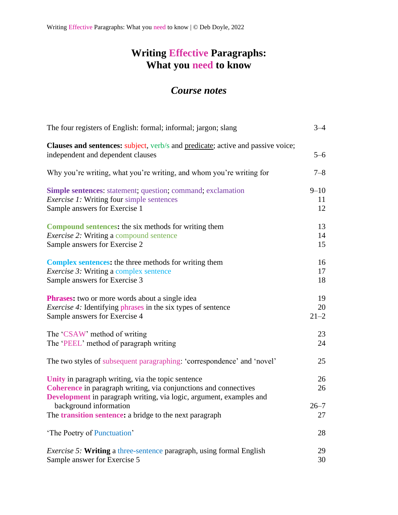## **Writing Effective Paragraphs: What you need to know**

## *Course notes*

| The four registers of English: formal; informal; jargon; slang                                                                                                                                | $3 - 4$  |
|-----------------------------------------------------------------------------------------------------------------------------------------------------------------------------------------------|----------|
| Clauses and sentences: subject, verb/s and predicate; active and passive voice;<br>independent and dependent clauses                                                                          | $5 - 6$  |
| Why you're writing, what you're writing, and whom you're writing for                                                                                                                          | $7 - 8$  |
| <b>Simple sentences:</b> statement; question; command; exclamation                                                                                                                            | $9 - 10$ |
| <i>Exercise 1:</i> Writing four simple sentences                                                                                                                                              | 11       |
| Sample answers for Exercise 1                                                                                                                                                                 | 12       |
| <b>Compound sentences:</b> the six methods for writing them                                                                                                                                   | 13       |
| <i>Exercise 2:</i> Writing a compound sentence                                                                                                                                                | 14       |
| Sample answers for Exercise 2                                                                                                                                                                 | 15       |
| <b>Complex sentences:</b> the three methods for writing them                                                                                                                                  | 16       |
| <i>Exercise 3:</i> Writing a complex sentence                                                                                                                                                 | 17       |
| Sample answers for Exercise 3                                                                                                                                                                 | 18       |
| <b>Phrases:</b> two or more words about a single idea                                                                                                                                         | 19       |
| <i>Exercise 4:</i> Identifying phrases in the six types of sentence                                                                                                                           | 20       |
| Sample answers for Exercise 4                                                                                                                                                                 | $21 - 2$ |
| The 'CSAW' method of writing                                                                                                                                                                  | 23       |
| The 'PEEL' method of paragraph writing                                                                                                                                                        | 24       |
| The two styles of subsequent paragraphing: 'correspondence' and 'novel'                                                                                                                       | 25       |
| Unity in paragraph writing, via the topic sentence<br>Coherence in paragraph writing, via conjunctions and connectives<br>Development in paragraph writing, via logic, argument, examples and | 26<br>26 |
| background information                                                                                                                                                                        | $26 - 7$ |
| The <b>transition sentence:</b> a bridge to the next paragraph                                                                                                                                | 27       |
| 'The Poetry of Punctuation'                                                                                                                                                                   | 28       |
| <i>Exercise 5:</i> Writing a three-sentence paragraph, using formal English                                                                                                                   | 29       |
| Sample answer for Exercise 5                                                                                                                                                                  | 30       |